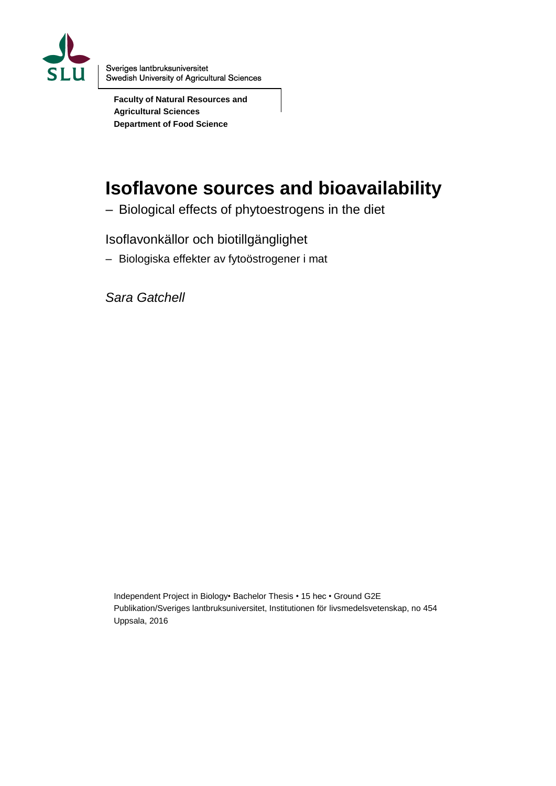

Sveriges lantbruksuniversitet Swedish University of Agricultural Sciences

**Faculty of Natural Resources and Agricultural Sciences Department of Food Science**

# **Isoflavone sources and bioavailability**

– Biological effects of phytoestrogens in the diet

Isoflavonkällor och biotillgänglighet

– Biologiska effekter av fytoöstrogener i mat

*Sara Gatchell*

Independent Project in Biology• Bachelor Thesis • 15 hec • Ground G2E Publikation/Sveriges lantbruksuniversitet, Institutionen för livsmedelsvetenskap, no 454 Uppsala, 2016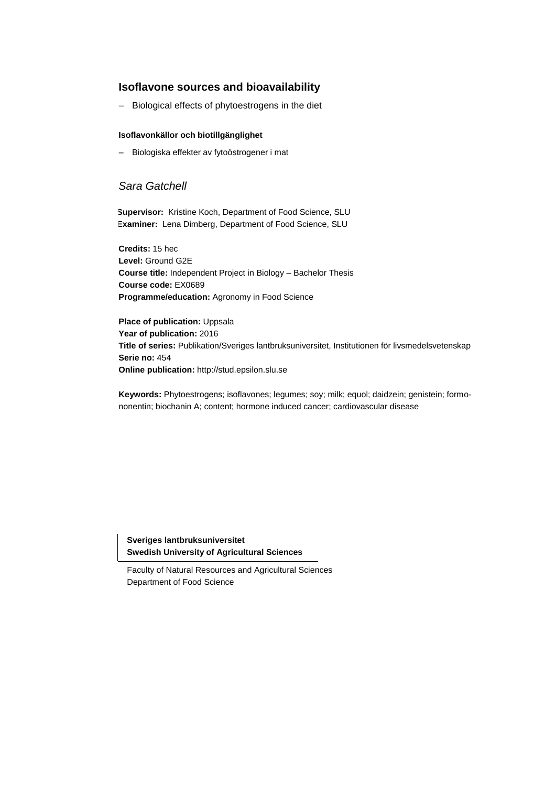### **Isoflavone sources and bioavailability**

– Biological effects of phytoestrogens in the diet

#### **Isoflavonkällor och biotillgänglighet**

– Biologiska effekter av fytoöstrogener i mat

### *Sara Gatchell*

**Supervisor:** Kristine Koch, Department of Food Science, SLU **Examiner:** Lena Dimberg, Department of Food Science, SLU

**Credits:** 15 hec **Level:** Ground G2E **Course title:** Independent Project in Biology – Bachelor 3URMHFW **Course code:** EX0689 Programme/education: AgrLFXOXUDO3URUDPPbbd Science

**Place of publication: Uppsala Year of publication:** 2016 **Title of series:** Publikation/Sveriges lantbruksuniversitet, Institutionen för livsmedelsvetenskap **Series no:** 454 **Online publication:** http://stud.epsilon.slu.se

**Keywords:** Phytoestrogens; isoflavones; legumes; soy; milk; equol; daidzein; genistein; formononentin; biochanin A; content; hormone induced cancer; cardiovascular disease

**Sveriges lantbruksuniversitet Swedish University of Agricultural Sciences**

Faculty of Natural Resources and Agricultural Sciences Department of Food Science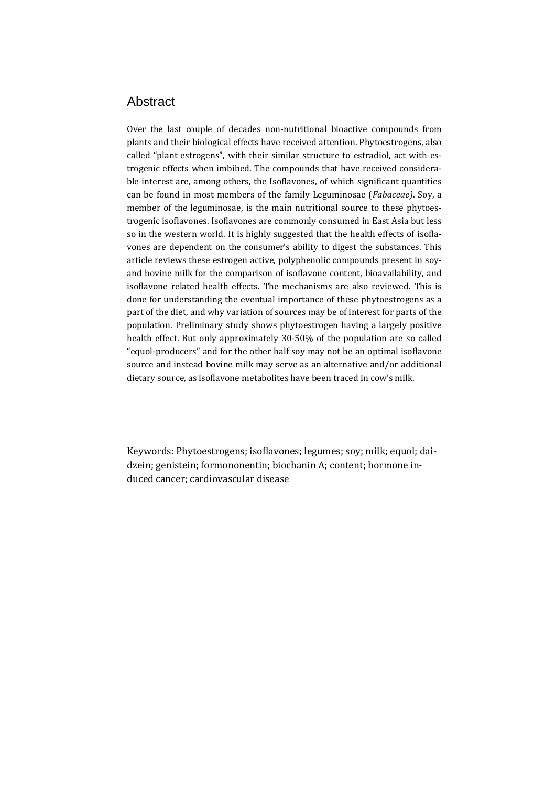### Abstract

Over the last couple of decades non-nutritional bioactive compounds from plants and their biological effects have received attention. Phytoestrogens, also called "plant estrogens", with their similar structure to estradiol, act with estrogenic effects when imbibed. The compounds that have received considerable interest are, among others, the Isoflavones, of which significant quantities can be found in most members of the family Leguminosae (*Fabaceae)*. Soy, a member of the leguminosae, is the main nutritional source to these phytoestrogenic isoflavones. Isoflavones are commonly consumed in East Asia but less so in the western world. It is highly suggested that the health effects of isoflavones are dependent on the consumer's ability to digest the substances. This article reviews these estrogen active, polyphenolic compounds present in soyand bovine milk for the comparison of isoflavone content, bioavailability, and isoflavone related health effects. The mechanisms are also reviewed. This is done for understanding the eventual importance of these phytoestrogens as a part of the diet, and why variation of sources may be of interest for parts of the population. Preliminary study shows phytoestrogen having a largely positive health effect. But only approximately 30-50% of the population are so called "equol-producers" and for the other half soy may not be an optimal isoflavone source and instead bovine milk may serve as an alternative and/or additional dietary source, as isoflavone metabolites have been traced in cow's milk.

Keywords: Phytoestrogens; isoflavones; legumes; soy; milk; equol; daidzein; genistein; formononentin; biochanin A; content; hormone induced cancer; cardiovascular disease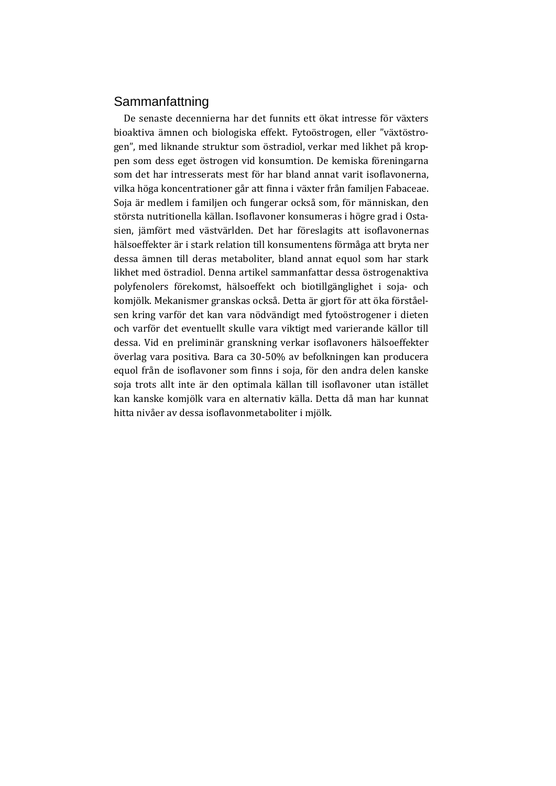## Sammanfattning

De senaste decennierna har det funnits ett ökat intresse för växters bioaktiva ämnen och biologiska effekt. Fytoöstrogen, eller "växtöstrogen", med liknande struktur som östradiol, verkar med likhet på kroppen som dess eget östrogen vid konsumtion. De kemiska föreningarna som det har intresserats mest för har bland annat varit isoflavonerna, vilka höga koncentrationer går att finna i växter från familjen Fabaceae. Soja är medlem i familjen och fungerar också som, för människan, den största nutritionella källan. Isoflavoner konsumeras i högre grad i Ostasien, jämfört med västvärlden. Det har föreslagits att isoflavonernas hälsoeffekter är i stark relation till konsumentens förmåga att bryta ner dessa ämnen till deras metaboliter, bland annat equol som har stark likhet med östradiol. Denna artikel sammanfattar dessa östrogenaktiva polyfenolers förekomst, hälsoeffekt och biotillgänglighet i soja- och komjölk. Mekanismer granskas också. Detta är gjort för att öka förståelsen kring varför det kan vara nödvändigt med fytoöstrogener i dieten och varför det eventuellt skulle vara viktigt med varierande källor till dessa. Vid en preliminär granskning verkar isoflavoners hälsoeffekter överlag vara positiva. Bara ca 30-50% av befolkningen kan producera equol från de isoflavoner som finns i soja, för den andra delen kanske soja trots allt inte är den optimala källan till isoflavoner utan istället kan kanske komjölk vara en alternativ källa. Detta då man har kunnat hitta nivåer av dessa isoflavonmetaboliter i mjölk.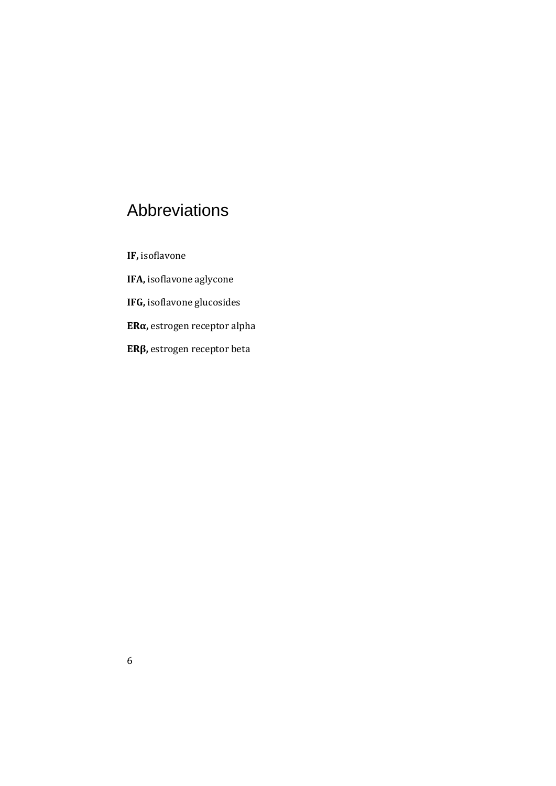# Abbreviations

**IF,** isoflavone

**IFA,** isoflavone aglycone

**IFG,** isoflavone glucosides

**ERα,** estrogen receptor alpha

**ERβ,** estrogen receptor beta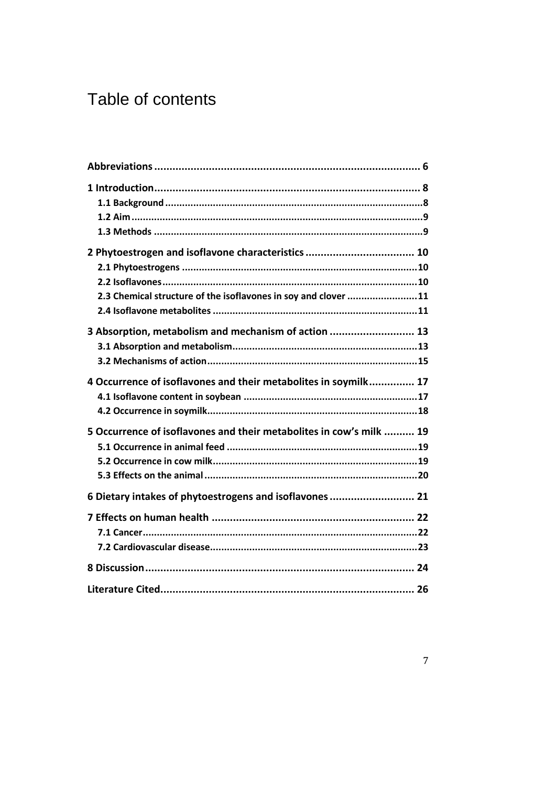# Table of contents

| 2.3 Chemical structure of the isoflavones in soy and clover 11      |  |
|---------------------------------------------------------------------|--|
| 3 Absorption, metabolism and mechanism of action  13                |  |
| 4 Occurrence of isoflavones and their metabolites in soymilk 17     |  |
| 5 Occurrence of isoflavones and their metabolites in cow's milk  19 |  |
| 6 Dietary intakes of phytoestrogens and isoflavones  21             |  |
|                                                                     |  |
|                                                                     |  |
|                                                                     |  |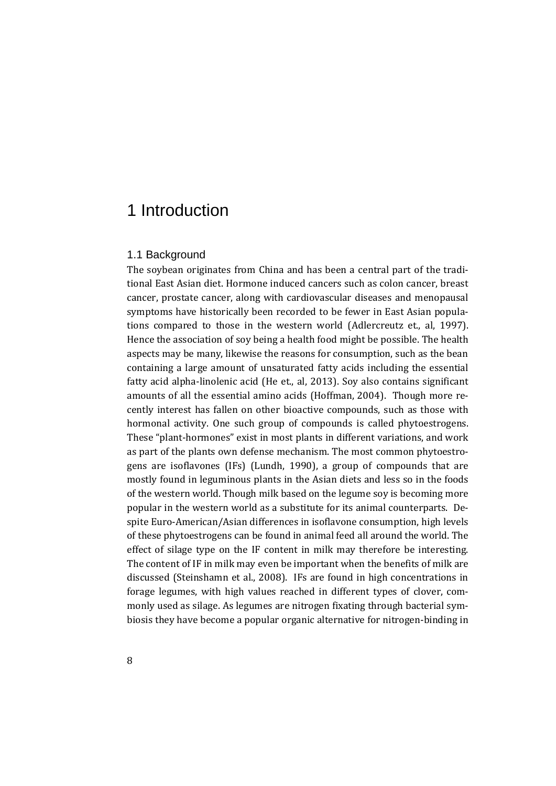# 1 Introduction

#### 1.1 Background

The soybean originates from China and has been a central part of the traditional East Asian diet. Hormone induced cancers such as colon cancer, breast cancer, prostate cancer, along with cardiovascular diseases and menopausal symptoms have historically been recorded to be fewer in East Asian populations compared to those in the western world (Adlercreutz et., al, 1997). Hence the association of soy being a health food might be possible. The health aspects may be many, likewise the reasons for consumption, such as the bean containing a large amount of unsaturated fatty acids including the essential fatty acid alpha-linolenic acid (He et., al, 2013). Soy also contains significant amounts of all the essential amino acids (Hoffman, 2004). Though more recently interest has fallen on other bioactive compounds, such as those with hormonal activity. One such group of compounds is called phytoestrogens. These "plant-hormones" exist in most plants in different variations, and work as part of the plants own defense mechanism. The most common phytoestrogens are isoflavones (IFs) (Lundh, 1990), a group of compounds that are mostly found in leguminous plants in the Asian diets and less so in the foods of the western world. Though milk based on the legume soy is becoming more popular in the western world as a substitute for its animal counterparts. Despite Euro-American/Asian differences in isoflavone consumption, high levels of these phytoestrogens can be found in animal feed all around the world. The effect of silage type on the IF content in milk may therefore be interesting. The content of IF in milk may even be important when the benefits of milk are discussed (Steinshamn et al., 2008). IFs are found in high concentrations in forage legumes, with high values reached in different types of clover, commonly used as silage. As legumes are nitrogen fixating through bacterial symbiosis they have become a popular organic alternative for nitrogen-binding in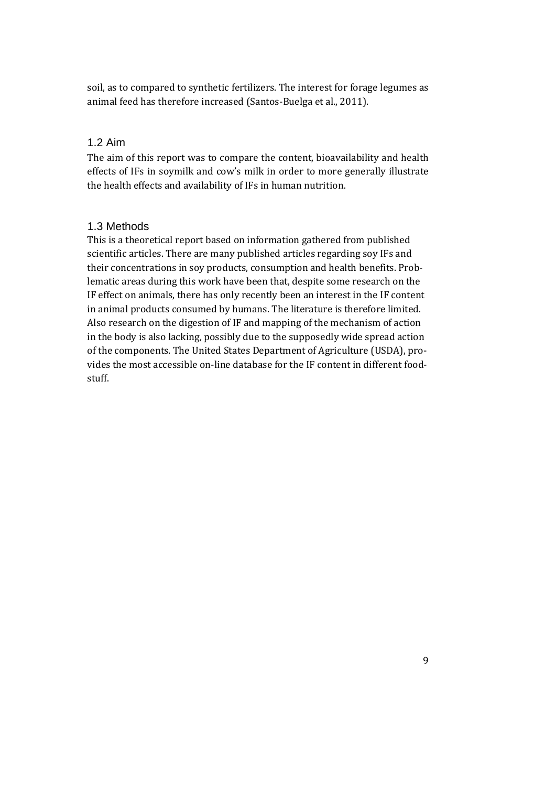soil, as to compared to synthetic fertilizers. The interest for forage legumes as animal feed has therefore increased (Santos-Buelga et al., 2011).

### 1.2 Aim

The aim of this report was to compare the content, bioavailability and health effects of IFs in soymilk and cow's milk in order to more generally illustrate the health effects and availability of IFs in human nutrition.

#### 1.3 Methods

This is a theoretical report based on information gathered from published scientific articles. There are many published articles regarding soy IFs and their concentrations in soy products, consumption and health benefits. Problematic areas during this work have been that, despite some research on the IF effect on animals, there has only recently been an interest in the IF content in animal products consumed by humans. The literature is therefore limited. Also research on the digestion of IF and mapping of the mechanism of action in the body is also lacking, possibly due to the supposedly wide spread action of the components. The United States Department of Agriculture (USDA), provides the most accessible on-line database for the IF content in different foodstuff.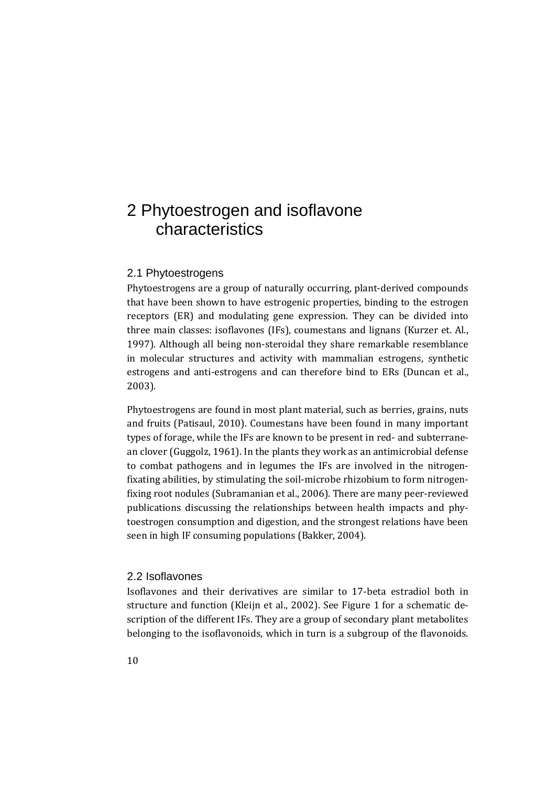# 2 Phytoestrogen and isoflavone characteristics

### 2.1 Phytoestrogens

Phytoestrogens are a group of naturally occurring, plant-derived compounds that have been shown to have estrogenic properties, binding to the estrogen receptors (ER) and modulating gene expression. They can be divided into three main classes: isoflavones (IFs), coumestans and lignans (Kurzer et. Al., 1997). Although all being non-steroidal they share remarkable resemblance in molecular structures and activity with mammalian estrogens, synthetic estrogens and anti-estrogens and can therefore bind to ERs (Duncan et al., 2003).

Phytoestrogens are found in most plant material, such as berries, grains, nuts and fruits (Patisaul, 2010). Coumestans have been found in many important types of forage, while the IFs are known to be present in red- and subterranean clover (Guggolz, 1961). In the plants they work as an antimicrobial defense to combat pathogens and in legumes the IFs are involved in the nitrogenfixating abilities, by stimulating the soil-microbe rhizobium to form nitrogenfixing root nodules (Subramanian et al., 2006). There are many peer-reviewed publications discussing the relationships between health impacts and phytoestrogen consumption and digestion, and the strongest relations have been seen in high IF consuming populations (Bakker, 2004).

#### 2.2 Isoflavones

Isoflavones and their derivatives are similar to 17-beta estradiol both in structure and function (Kleijn et al., 2002). See Figure 1 for a schematic description of the different IFs. They are a group of secondary plant metabolites belonging to the isoflavonoids, which in turn is a subgroup of the flavonoids.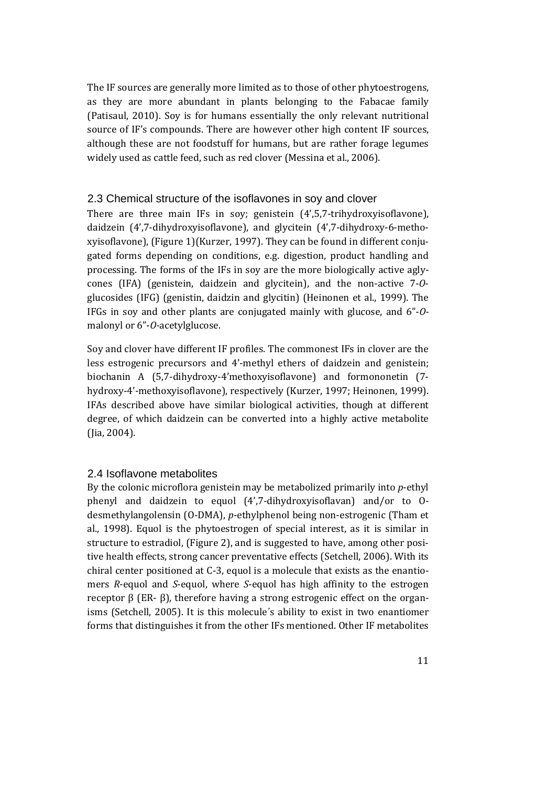The IF sources are generally more limited as to those of other phytoestrogens, as they are more abundant in plants belonging to the Fabacae family (Patisaul, 2010). Soy is for humans essentially the only relevant nutritional source of IF's compounds. There are however other high content IF sources, although these are not foodstuff for humans, but are rather forage legumes widely used as cattle feed, such as red clover (Messina et al., 2006).

#### 2.3 Chemical structure of the isoflavones in soy and clover

There are three main IFs in soy; genistein (4',5,7-trihydroxyisoflavone), daidzein (4',7-dihydroxyisoflavone), and glycitein (4',7-dihydroxy-6-methoxyisoflavone), (Figure 1)(Kurzer, 1997). They can be found in different conjugated forms depending on conditions, e.g. digestion, product handling and processing. The forms of the IFs in soy are the more biologically active aglycones (IFA) (genistein, daidzein and glycitein), and the non-active 7-*O*glucosides (IFG) (genistin, daidzin and glycitin) (Heinonen et al., 1999). The IFGs in soy and other plants are conjugated mainly with glucose, and 6"-*O*malonyl or 6"-*O-*acetylglucose.

Soy and clover have different IF profiles. The commonest IFs in clover are the less estrogenic precursors and 4'-methyl ethers of daidzein and genistein; biochanin A (5,7-dihydroxy-4'methoxyisoflavone) and formononetin (7 hydroxy-4'-methoxyisoflavone), respectively (Kurzer, 1997; Heinonen, 1999). IFAs described above have similar biological activities, though at different degree, of which daidzein can be converted into a highly active metabolite (Jia, 2004).

#### 2.4 Isoflavone metabolites

By the colonic microflora genistein may be metabolized primarily into *p*-ethyl phenyl and daidzein to equol (4',7-dihydroxyisoflavan) and/or to Odesmethylangolensin (O-DMA), *p*-ethylphenol being non-estrogenic (Tham et al., 1998). Equol is the phytoestrogen of special interest, as it is similar in structure to estradiol, (Figure 2), and is suggested to have, among other positive health effects, strong cancer preventative effects (Setchell, 2006). With its chiral center positioned at C-3, equol is a molecule that exists as the enantiomers *R*-equol and *S*-equol, where *S*-equol has high affinity to the estrogen receptor β (ER- β), therefore having a strong estrogenic effect on the organisms (Setchell, 2005). It is this molecule´s ability to exist in two enantiomer forms that distinguishes it from the other IFs mentioned. Other IF metabolites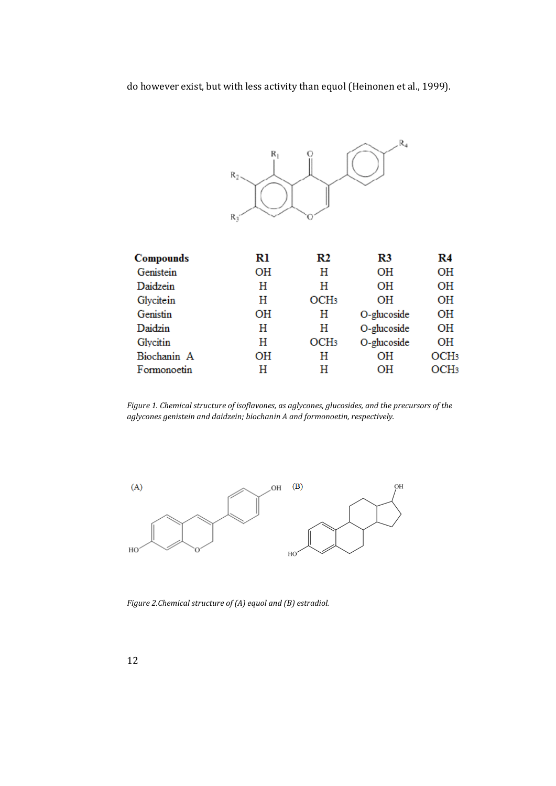do however exist, but with less activity than equol (Heinonen et al., 1999).



| <b>Compounds</b> | Rl | R2               | R3          | R4               |
|------------------|----|------------------|-------------|------------------|
| Genistein        | OН | н                | OН          | OН               |
| Daidzein         | н  | н                | OН          | OН               |
| Glycitein        | н  | OCH <sub>3</sub> | OН          | OН               |
| Genistin         | OН | Н                | O-glucoside | OН               |
| Daidzin          | Н  | Н                | O-glucoside | OН               |
| Glycitin         | Н  | OCH <sub>3</sub> | O-glucoside | OН               |
| Biochanin A      | OН | Н                | OН          | OCH <sub>3</sub> |
| Formonoetin      | Н  | Н                | OН          | OCH <sub>3</sub> |
|                  |    |                  |             |                  |

*Figure 1. Chemical structure of isoflavones, as aglycones, glucosides, and the precursors of the aglycones genistein and daidzein; biochanin A and formonoetin, respectively.* 



*Figure 2.Chemical structure of (A) equol and (B) estradiol.*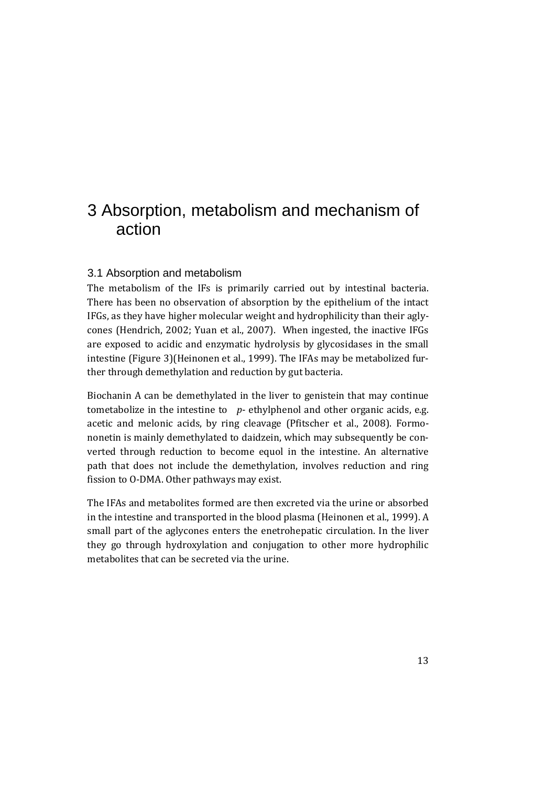# 3 Absorption, metabolism and mechanism of action

### 3.1 Absorption and metabolism

The metabolism of the IFs is primarily carried out by intestinal bacteria. There has been no observation of absorption by the epithelium of the intact IFGs, as they have higher molecular weight and hydrophilicity than their aglycones (Hendrich, 2002; Yuan et al., 2007). When ingested, the inactive IFGs are exposed to acidic and enzymatic hydrolysis by glycosidases in the small intestine (Figure 3)(Heinonen et al., 1999). The IFAs may be metabolized further through demethylation and reduction by gut bacteria.

Biochanin A can be demethylated in the liver to genistein that may continue tometabolize in the intestine to *p*- ethylphenol and other organic acids, e.g. acetic and melonic acids, by ring cleavage (Pfitscher et al., 2008). Formononetin is mainly demethylated to daidzein, which may subsequently be converted through reduction to become equol in the intestine. An alternative path that does not include the demethylation, involves reduction and ring fission to O-DMA. Other pathways may exist.

The IFAs and metabolites formed are then excreted via the urine or absorbed in the intestine and transported in the blood plasma (Heinonen et al., 1999). A small part of the aglycones enters the enetrohepatic circulation. In the liver they go through hydroxylation and conjugation to other more hydrophilic metabolites that can be secreted via the urine.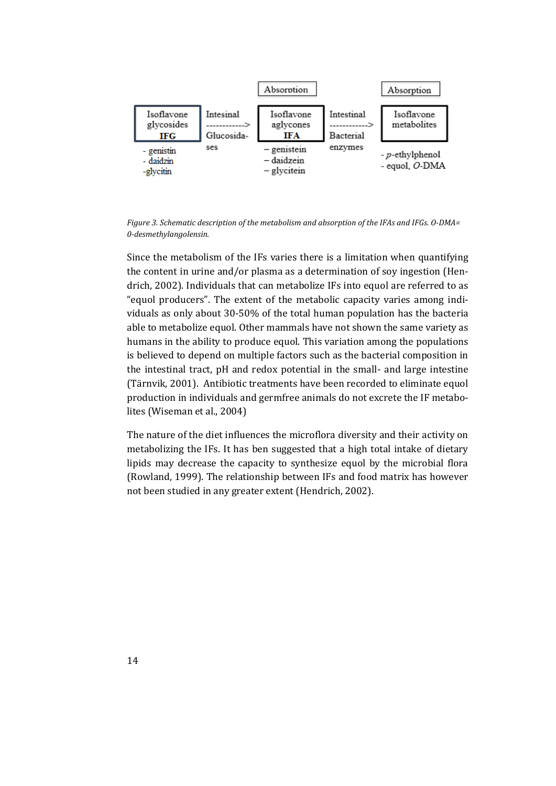

*Figure 3. Schematic description of the metabolism and absorption of the IFAs and IFGs. O-DMA= 0-desmethylangolensin.*

Since the metabolism of the IFs varies there is a limitation when quantifying the content in urine and/or plasma as a determination of soy ingestion (Hendrich, 2002). Individuals that can metabolize IFs into equol are referred to as "equol producers". The extent of the metabolic capacity varies among individuals as only about 30-50% of the total human population has the bacteria able to metabolize equol. Other mammals have not shown the same variety as humans in the ability to produce equol. This variation among the populations is believed to depend on multiple factors such as the bacterial composition in the intestinal tract, pH and redox potential in the small- and large intestine (Tärnvik, 2001). Antibiotic treatments have been recorded to eliminate equol production in individuals and germfree animals do not excrete the IF metabolites (Wiseman et al., 2004)

The nature of the diet influences the microflora diversity and their activity on metabolizing the IFs. It has ben suggested that a high total intake of dietary lipids may decrease the capacity to synthesize equol by the microbial flora (Rowland, 1999). The relationship between IFs and food matrix has however not been studied in any greater extent (Hendrich, 2002).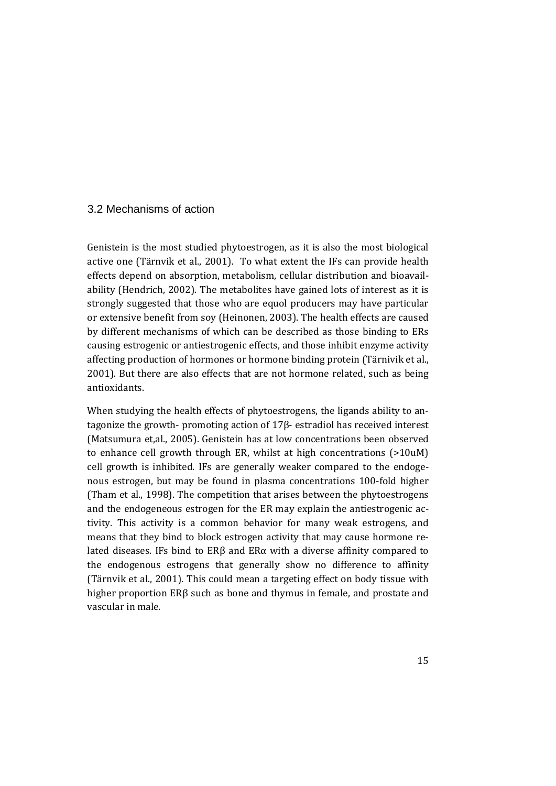### 3.2 Mechanisms of action

Genistein is the most studied phytoestrogen, as it is also the most biological active one (Tärnvik et al., 2001). To what extent the IFs can provide health effects depend on absorption, metabolism, cellular distribution and bioavailability (Hendrich, 2002). The metabolites have gained lots of interest as it is strongly suggested that those who are equol producers may have particular or extensive benefit from soy (Heinonen, 2003). The health effects are caused by different mechanisms of which can be described as those binding to ERs causing estrogenic or antiestrogenic effects, and those inhibit enzyme activity affecting production of hormones or hormone binding protein (Tärnivik et al., 2001). But there are also effects that are not hormone related, such as being antioxidants.

When studying the health effects of phytoestrogens, the ligands ability to antagonize the growth- promoting action of 17β- estradiol has received interest (Matsumura et,al., 2005). Genistein has at low concentrations been observed to enhance cell growth through ER, whilst at high concentrations (>10uM) cell growth is inhibited. IFs are generally weaker compared to the endogenous estrogen, but may be found in plasma concentrations 100-fold higher (Tham et al., 1998). The competition that arises between the phytoestrogens and the endogeneous estrogen for the ER may explain the antiestrogenic activity. This activity is a common behavior for many weak estrogens, and means that they bind to block estrogen activity that may cause hormone related diseases. IFs bind to ERβ and ERα with a diverse affinity compared to the endogenous estrogens that generally show no difference to affinity (Tärnvik et al., 2001). This could mean a targeting effect on body tissue with higher proportion ERβ such as bone and thymus in female, and prostate and vascular in male.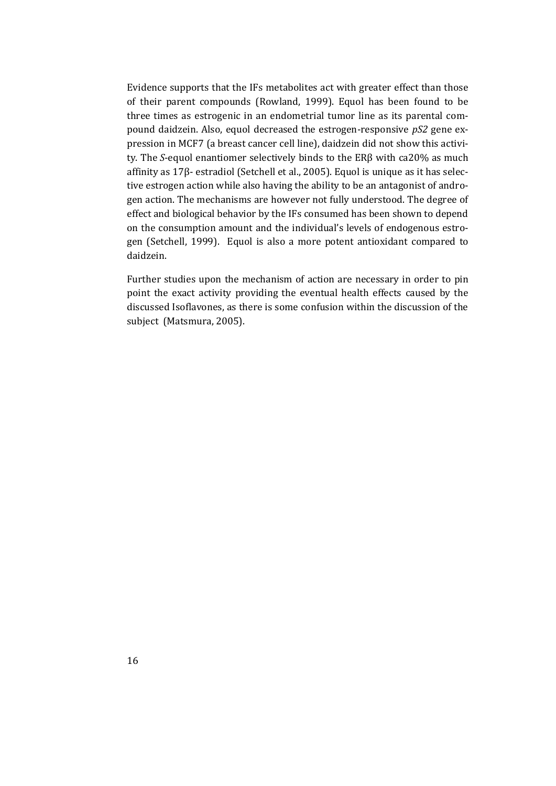Evidence supports that the IFs metabolites act with greater effect than those of their parent compounds (Rowland, 1999). Equol has been found to be three times as estrogenic in an endometrial tumor line as its parental compound daidzein. Also, equol decreased the estrogen-responsive *pS2* gene expression in MCF7 (a breast cancer cell line), daidzein did not show this activity. The *S*-equol enantiomer selectively binds to the ERβ with ca20% as much affinity as 17β- estradiol (Setchell et al., 2005). Equol is unique as it has selective estrogen action while also having the ability to be an antagonist of androgen action. The mechanisms are however not fully understood. The degree of effect and biological behavior by the IFs consumed has been shown to depend on the consumption amount and the individual's levels of endogenous estrogen (Setchell, 1999). Equol is also a more potent antioxidant compared to daidzein.

Further studies upon the mechanism of action are necessary in order to pin point the exact activity providing the eventual health effects caused by the discussed Isoflavones, as there is some confusion within the discussion of the subject (Matsmura, 2005).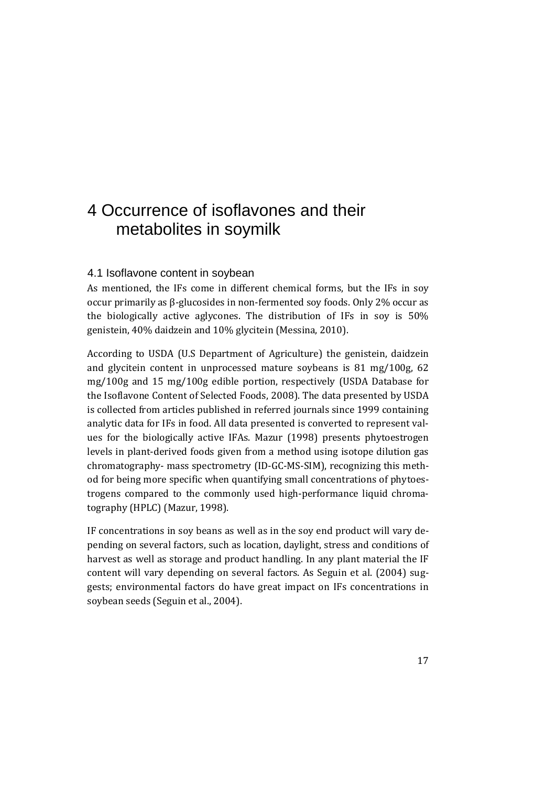# 4 Occurrence of isoflavones and their metabolites in soymilk

### 4.1 Isoflavone content in soybean

As mentioned, the IFs come in different chemical forms, but the IFs in soy occur primarily as β-glucosides in non-fermented soy foods. Only 2% occur as the biologically active aglycones. The distribution of IFs in soy is 50% genistein, 40% daidzein and 10% glycitein (Messina, 2010).

According to USDA (U.S Department of Agriculture) the genistein, daidzein and glycitein content in unprocessed mature soybeans is 81 mg/100g, 62 mg/100g and 15 mg/100g edible portion, respectively (USDA Database for the Isoflavone Content of Selected Foods, 2008). The data presented by USDA is collected from articles published in referred journals since 1999 containing analytic data for IFs in food. All data presented is converted to represent values for the biologically active IFAs. Mazur (1998) presents phytoestrogen levels in plant-derived foods given from a method using isotope dilution gas chromatography- mass spectrometry (ID-GC-MS-SIM), recognizing this method for being more specific when quantifying small concentrations of phytoestrogens compared to the commonly used high-performance liquid chromatography (HPLC) (Mazur, 1998).

IF concentrations in soy beans as well as in the soy end product will vary depending on several factors, such as location, daylight, stress and conditions of harvest as well as storage and product handling. In any plant material the IF content will vary depending on several factors. As Seguin et al. (2004) suggests; environmental factors do have great impact on IFs concentrations in soybean seeds (Seguin et al., 2004).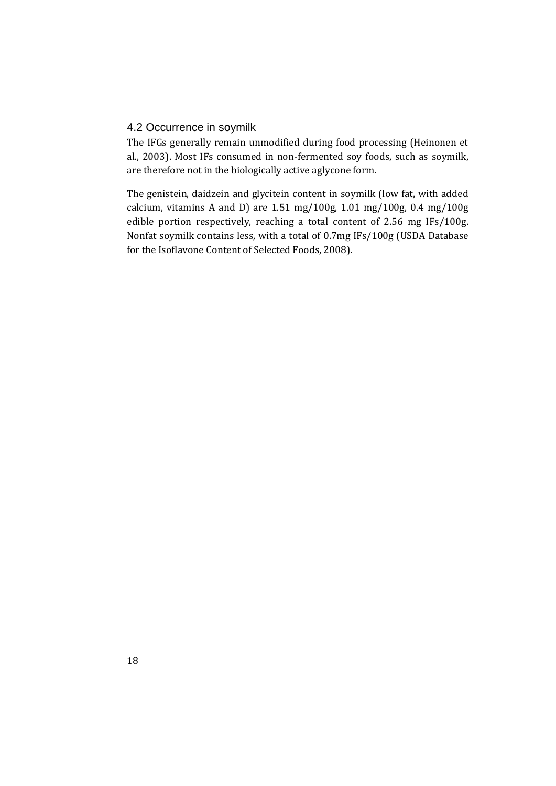### 4.2 Occurrence in soymilk

The IFGs generally remain unmodified during food processing (Heinonen et al., 2003). Most IFs consumed in non-fermented soy foods, such as soymilk, are therefore not in the biologically active aglycone form.

The genistein, daidzein and glycitein content in soymilk (low fat, with added calcium, vitamins A and D) are 1.51 mg/100g, 1.01 mg/100g, 0.4 mg/100g edible portion respectively, reaching a total content of 2.56 mg IFs/100g. Nonfat soymilk contains less, with a total of 0.7mg IFs/100g (USDA Database for the Isoflavone Content of Selected Foods, 2008).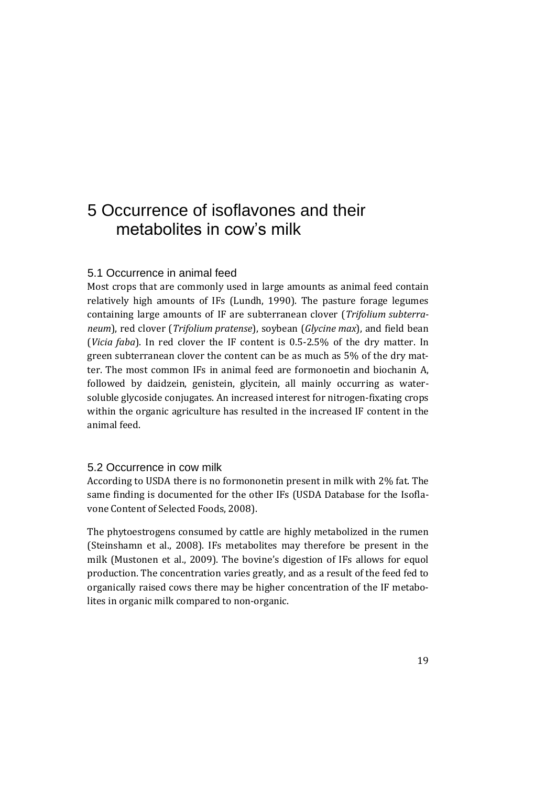# 5 Occurrence of isoflavones and their metabolites in cow's milk

### 5.1 Occurrence in animal feed

Most crops that are commonly used in large amounts as animal feed contain relatively high amounts of IFs (Lundh, 1990). The pasture forage legumes containing large amounts of IF are subterranean clover (*Trifolium subterraneum*), red clover (*Trifolium pratense*), soybean (*Glycine max*), and field bean (*Vicia faba*). In red clover the IF content is 0.5-2.5% of the dry matter. In green subterranean clover the content can be as much as 5% of the dry matter. The most common IFs in animal feed are formonoetin and biochanin A, followed by daidzein, genistein, glycitein, all mainly occurring as watersoluble glycoside conjugates. An increased interest for nitrogen-fixating crops within the organic agriculture has resulted in the increased IF content in the animal feed.

### 5.2 Occurrence in cow milk

According to USDA there is no formononetin present in milk with 2% fat. The same finding is documented for the other IFs (USDA Database for the Isoflavone Content of Selected Foods, 2008).

The phytoestrogens consumed by cattle are highly metabolized in the rumen (Steinshamn et al., 2008). IFs metabolites may therefore be present in the milk (Mustonen et al., 2009). The bovine's digestion of IFs allows for equol production. The concentration varies greatly, and as a result of the feed fed to organically raised cows there may be higher concentration of the IF metabolites in organic milk compared to non-organic.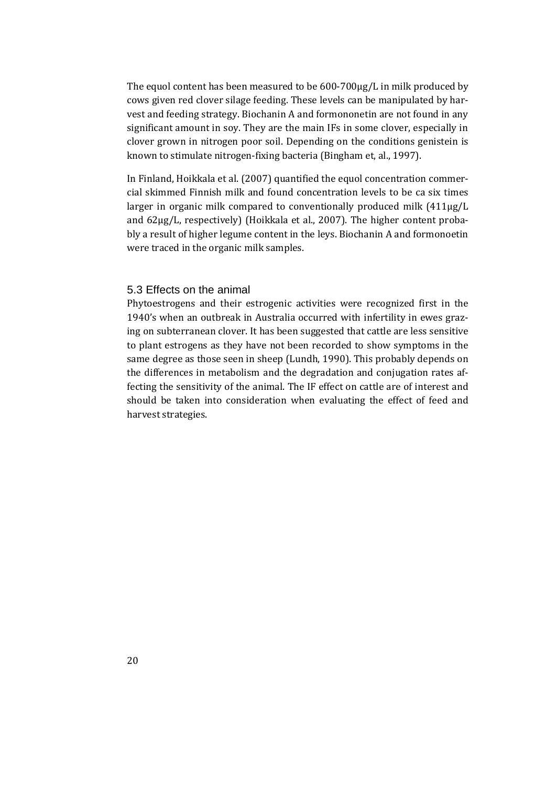The equol content has been measured to be 600-700μg/L in milk produced by cows given red clover silage feeding. These levels can be manipulated by harvest and feeding strategy. Biochanin A and formononetin are not found in any significant amount in soy. They are the main IFs in some clover, especially in clover grown in nitrogen poor soil. Depending on the conditions genistein is known to stimulate nitrogen-fixing bacteria (Bingham et, al., 1997).

In Finland, Hoikkala et al. (2007) quantified the equol concentration commercial skimmed Finnish milk and found concentration levels to be ca six times larger in organic milk compared to conventionally produced milk (411μg/L and 62μg/L, respectively) (Hoikkala et al., 2007). The higher content probably a result of higher legume content in the leys. Biochanin A and formonoetin were traced in the organic milk samples.

#### 5.3 Effects on the animal

Phytoestrogens and their estrogenic activities were recognized first in the 1940's when an outbreak in Australia occurred with infertility in ewes grazing on subterranean clover. It has been suggested that cattle are less sensitive to plant estrogens as they have not been recorded to show symptoms in the same degree as those seen in sheep (Lundh, 1990). This probably depends on the differences in metabolism and the degradation and conjugation rates affecting the sensitivity of the animal. The IF effect on cattle are of interest and should be taken into consideration when evaluating the effect of feed and harvest strategies.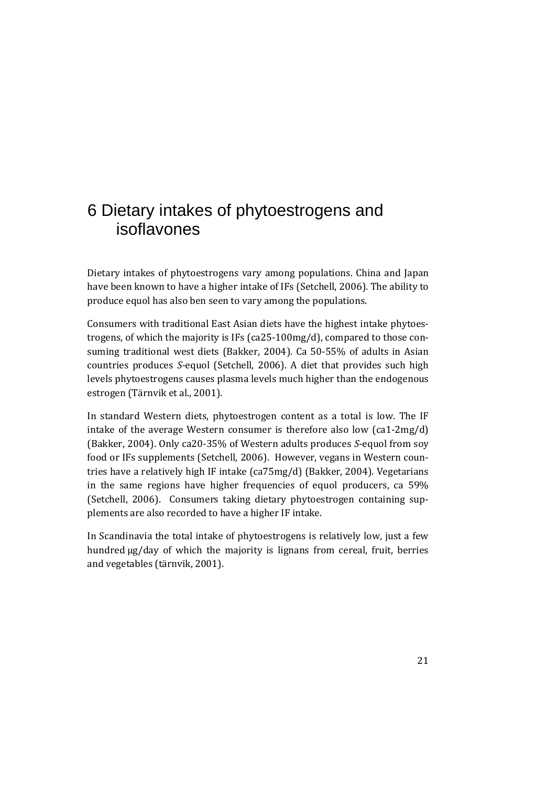# 6 Dietary intakes of phytoestrogens and isoflavones

Dietary intakes of phytoestrogens vary among populations. China and Japan have been known to have a higher intake of IFs (Setchell, 2006). The ability to produce equol has also ben seen to vary among the populations.

Consumers with traditional East Asian diets have the highest intake phytoestrogens, of which the majority is IFs (ca25-100mg/d), compared to those consuming traditional west diets (Bakker, 2004). Ca 50-55% of adults in Asian countries produces *S-*equol (Setchell, 2006). A diet that provides such high levels phytoestrogens causes plasma levels much higher than the endogenous estrogen (Tärnvik et al., 2001).

In standard Western diets, phytoestrogen content as a total is low. The IF intake of the average Western consumer is therefore also low (ca1-2mg/d) (Bakker, 2004). Only ca20-35% of Western adults produces *S*-equol from soy food or IFs supplements (Setchell, 2006). However, vegans in Western countries have a relatively high IF intake (ca75mg/d) (Bakker, 2004). Vegetarians in the same regions have higher frequencies of equol producers, ca 59% (Setchell, 2006). Consumers taking dietary phytoestrogen containing supplements are also recorded to have a higher IF intake.

In Scandinavia the total intake of phytoestrogens is relatively low, just a few hundred μg/day of which the majority is lignans from cereal, fruit, berries and vegetables (tärnvik, 2001).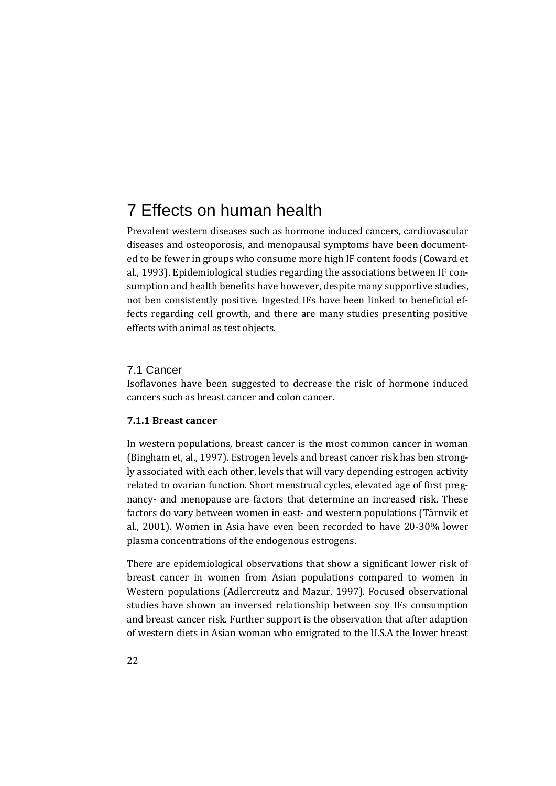# 7 Effects on human health

Prevalent western diseases such as hormone induced cancers, cardiovascular diseases and osteoporosis, and menopausal symptoms have been documented to be fewer in groups who consume more high IF content foods (Coward et al., 1993). Epidemiological studies regarding the associations between IF consumption and health benefits have however, despite many supportive studies, not ben consistently positive. Ingested IFs have been linked to beneficial effects regarding cell growth, and there are many studies presenting positive effects with animal as test objects.

#### 7.1 Cancer

Isoflavones have been suggested to decrease the risk of hormone induced cancers such as breast cancer and colon cancer.

#### **7.1.1 Breast cancer**

In western populations, breast cancer is the most common cancer in woman (Bingham et, al., 1997). Estrogen levels and breast cancer risk has ben strongly associated with each other, levels that will vary depending estrogen activity related to ovarian function. Short menstrual cycles, elevated age of first pregnancy- and menopause are factors that determine an increased risk. These factors do vary between women in east- and western populations (Tärnvik et al., 2001). Women in Asia have even been recorded to have 20-30% lower plasma concentrations of the endogenous estrogens.

There are epidemiological observations that show a significant lower risk of breast cancer in women from Asian populations compared to women in Western populations (Adlercreutz and Mazur, 1997). Focused observational studies have shown an inversed relationship between soy IFs consumption and breast cancer risk. Further support is the observation that after adaption of western diets in Asian woman who emigrated to the U.S.A the lower breast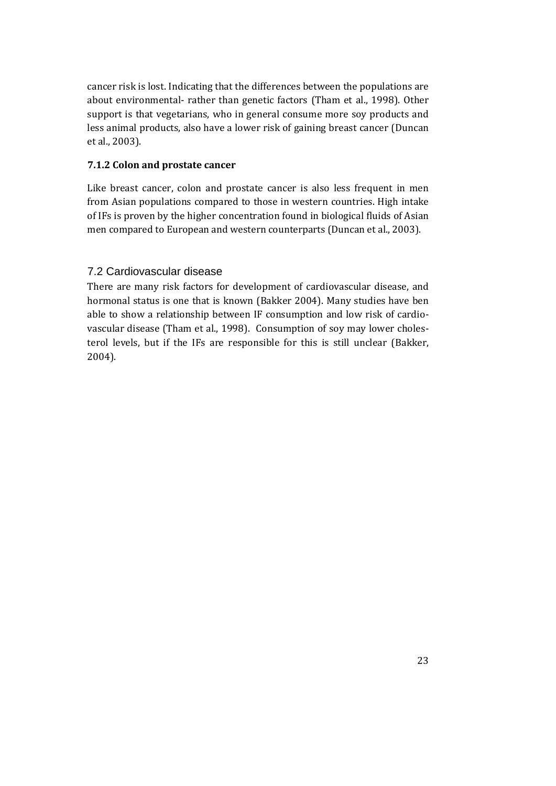cancer risk is lost. Indicating that the differences between the populations are about environmental- rather than genetic factors (Tham et al., 1998). Other support is that vegetarians, who in general consume more soy products and less animal products, also have a lower risk of gaining breast cancer (Duncan et al., 2003).

#### **7.1.2 Colon and prostate cancer**

Like breast cancer, colon and prostate cancer is also less frequent in men from Asian populations compared to those in western countries. High intake of IFs is proven by the higher concentration found in biological fluids of Asian men compared to European and western counterparts (Duncan et al., 2003).

### 7.2 Cardiovascular disease

There are many risk factors for development of cardiovascular disease, and hormonal status is one that is known (Bakker 2004). Many studies have ben able to show a relationship between IF consumption and low risk of cardiovascular disease (Tham et al., 1998). Consumption of soy may lower cholesterol levels, but if the IFs are responsible for this is still unclear (Bakker, 2004).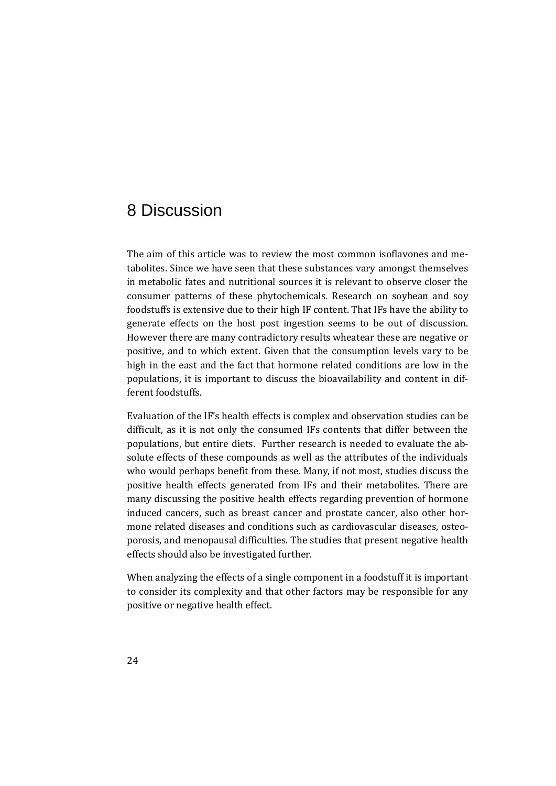# 8 Discussion

The aim of this article was to review the most common isoflavones and metabolites. Since we have seen that these substances vary amongst themselves in metabolic fates and nutritional sources it is relevant to observe closer the consumer patterns of these phytochemicals. Research on soybean and soy foodstuffs is extensive due to their high IF content. That IFs have the ability to generate effects on the host post ingestion seems to be out of discussion. However there are many contradictory results wheatear these are negative or positive, and to which extent. Given that the consumption levels vary to be high in the east and the fact that hormone related conditions are low in the populations, it is important to discuss the bioavailability and content in different foodstuffs.

Evaluation of the IF's health effects is complex and observation studies can be difficult, as it is not only the consumed IFs contents that differ between the populations, but entire diets. Further research is needed to evaluate the absolute effects of these compounds as well as the attributes of the individuals who would perhaps benefit from these. Many, if not most, studies discuss the positive health effects generated from IFs and their metabolites. There are many discussing the positive health effects regarding prevention of hormone induced cancers, such as breast cancer and prostate cancer, also other hormone related diseases and conditions such as cardiovascular diseases, osteoporosis, and menopausal difficulties. The studies that present negative health effects should also be investigated further.

When analyzing the effects of a single component in a foodstuff it is important to consider its complexity and that other factors may be responsible for any positive or negative health effect.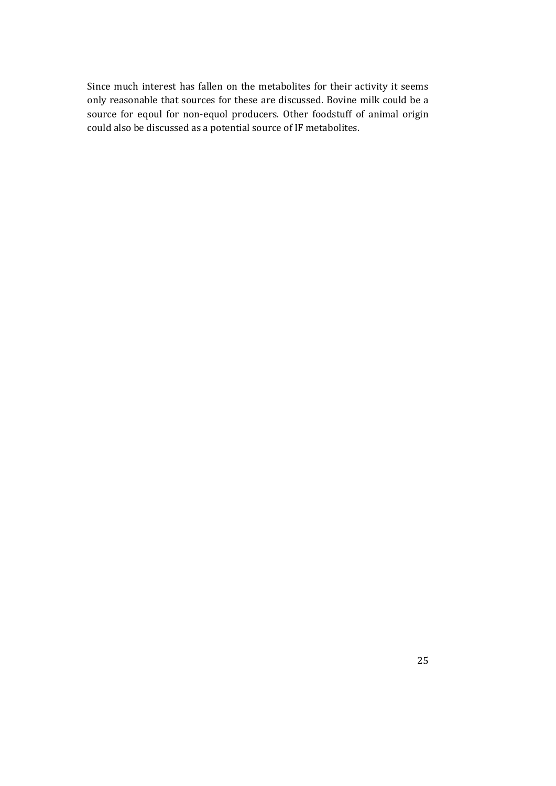Since much interest has fallen on the metabolites for their activity it seems only reasonable that sources for these are discussed. Bovine milk could be a source for eqoul for non-equol producers. Other foodstuff of animal origin could also be discussed as a potential source of IF metabolites.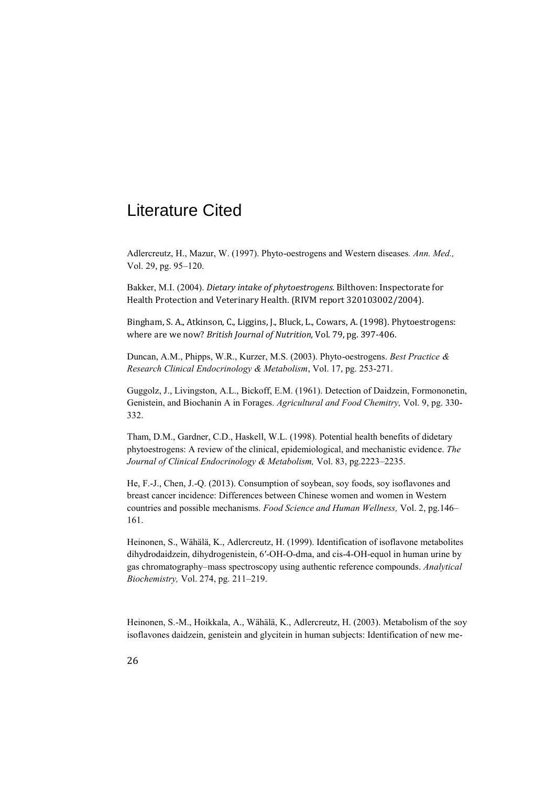# Literature Cited

Adlercreutz, H., Mazur, W. (1997). Phyto-oestrogens and Western diseases*. Ann. Med.,* Vol. 29, pg. 95–120.

Bakker, M.I. (2004). *Dietary intake of phytoestrogens.* Bilthoven: Inspectorate for Health Protection and Veterinary Health. (RIVM report 320103002/2004).

Bingham, S. A., Atkinson, C., Liggins, J., Bluck, L., Cowars, A. (1998). Phytoestrogens: where are we now? *British Journal of Nutrition,* Vol. 79, pg. 397-406.

Duncan, A.M., Phipps, W.R., Kurzer, M.S. (2003). Phyto-oestrogens. *Best Practice & Research Clinical Endocrinology & Metabolism*, Vol. 17, pg. 253-271.

Guggolz, J., Livingston, A.L., Bickoff, E.M. (1961). Detection of Daidzein, Formononetin, Genistein, and Biochanin A in Forages. *Agricultural and Food Chemitry,* Vol. 9, pg. 330- 332.

Tham, D.M., Gardner, C.D., Haskell, W.L. (1998). Potential health benefits of didetary phytoestrogens: A review of the clinical, epidemiological, and mechanistic evidence. *The Journal of Clinical Endocrinology & Metabolism,* Vol. 83, pg.2223–2235.

He, F.-J., Chen, J.-Q. (2013). Consumption of soybean, soy foods, soy isoflavones and breast cancer incidence: Differences between Chinese women and women in Western countries and possible mechanisms. *Food Science and Human Wellness,* Vol. 2, pg.146– 161.

Heinonen, S., Wähälä, K., Adlercreutz, H. (1999). Identification of isoflavone metabolites dihydrodaidzein, dihydrogenistein, 6′-OH-O-dma, and cis-4-OH-equol in human urine by gas chromatography–mass spectroscopy using authentic reference compounds. *Analytical Biochemistry,* Vol. 274, pg. 211–219.

Heinonen, S.-M., Hoikkala, A., Wähälä, K., Adlercreutz, H. (2003). Metabolism of the soy isoflavones daidzein, genistein and glycitein in human subjects: Identification of new me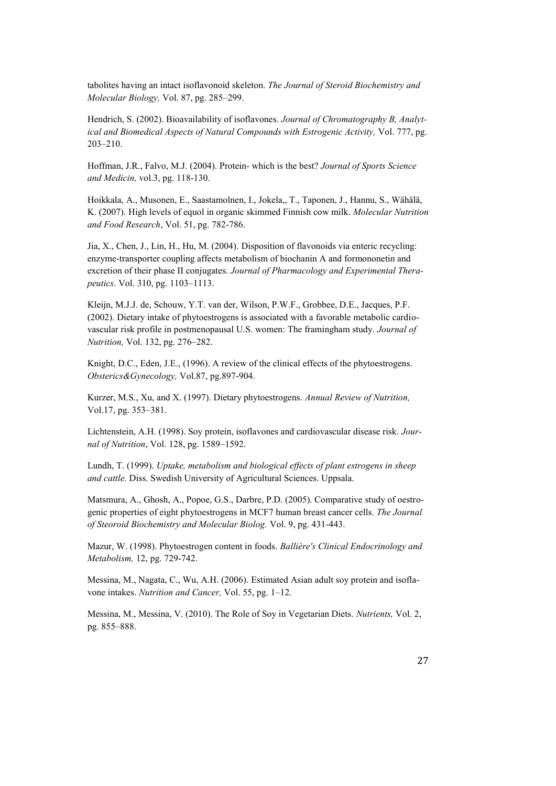tabolites having an intact isoflavonoid skeleton. *The Journal of Steroid Biochemistry and Molecular Biology,* Vol. 87, pg. 285–299.

Hendrich, S. (2002). Bioavailability of isoflavones. *Journal of Chromatography B, Analytical and Biomedical Aspects of Natural Compounds with Estrogenic Activity,* Vol. 777, pg. 203–210.

Hoffman, J.R., Falvo, M.J. (2004). Protein- which is the best? *Journal of Sports Science and Medicin,* vol.3, pg. 118-130.

Hoikkala, A., Musonen, E., Saastamolnen, I., Jokela,, T., Taponen, J., Hannu, S., Wähälä, K. (2007). High levels of equol in organic skimmed Finnish cow milk. *Molecular Nutrition and Food Research*, Vol. 51, pg. 782-786.

Jia, X., Chen, J., Lin, H., Hu, M. (2004). Disposition of flavonoids via enteric recycling: enzyme-transporter coupling affects metabolism of biochanin A and formononetin and excretion of their phase II conjugates. *Journal of Pharmacology and Experimental Therapeutics*. Vol. 310, pg. 1103–1113.

Kleijn, M.J.J. de, Schouw, Y.T. van der, Wilson, P.W.F., Grobbee, D.E., Jacques, P.F. (2002). Dietary intake of phytoestrogens is associated with a favorable metabolic cardiovascular risk profile in postmenopausal U.S. women: The framingham study. *Journal of Nutrition,* Vol. 132, pg. 276–282.

Knight, D.C., Eden, J.E., (1996). A review of the clinical effects of the phytoestrogens. *Obsterics&Gynecology,* Vol.87, pg.897-904.

Kurzer, M.S., Xu, and X. (1997). Dietary phytoestrogens. *Annual Review of Nutrition,* Vol.17, pg. 353–381.

Lichtenstein, A.H. (1998). Soy protein, isoflavones and cardiovascular disease risk. *Journal of Nutrition*, Vol. 128, pg. 1589–1592.

Lundh, T. (1999). *Uptake, metabolism and biological effects of plant estrogens in sheep and cattle.* Diss. Swedish University of Agricultural Sciences. Uppsala.

Matsmura, A., Ghosh, A., Popoe, G.S., Darbre, P.D. (2005). Comparative study of oestrogenic properties of eight phytoestrogens in MCF7 human breast cancer cells. *The Journal of Steoroid Biochemistry and Molecular Biolog.* Vol. 9, pg. 431-443.

Mazur, W. (1998). Phytoestrogen content in foods. *Ballière's Clinical Endocrinology and Metabolism,* 12, pg. 729-742.

Messina, M., Nagata, C., Wu, A.H. (2006). Estimated Asian adult soy protein and isoflavone intakes. *Nutrition and Cancer,* Vol. 55, pg. 1–12.

Messina, M., Messina, V. (2010). The Role of Soy in Vegetarian Diets. *Nutrients,* Vol. 2, pg. 855–888.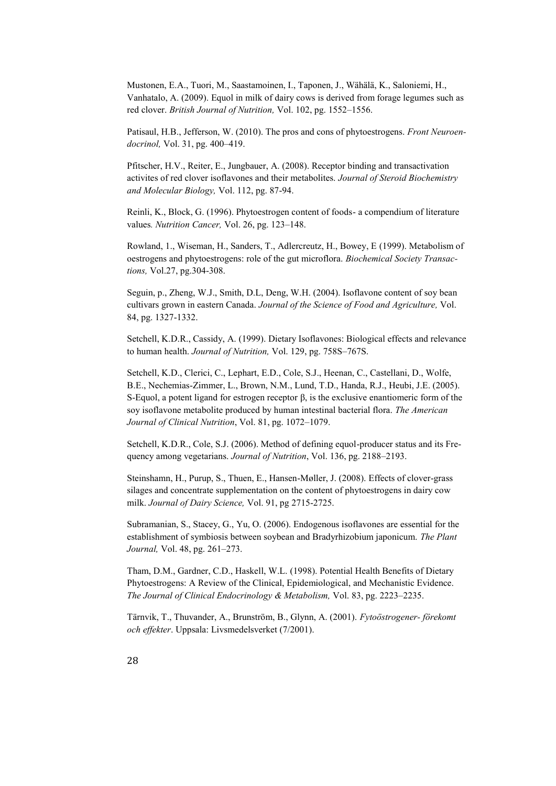Mustonen, E.A., Tuori, M., Saastamoinen, I., Taponen, J., Wähälä, K., Saloniemi, H., Vanhatalo, A. (2009). Equol in milk of dairy cows is derived from forage legumes such as red clover. *British Journal of Nutrition,* Vol. 102, pg. 1552–1556.

Patisaul, H.B., Jefferson, W. (2010). The pros and cons of phytoestrogens. *Front Neuroendocrinol,* Vol. 31, pg. 400–419.

Pfitscher, H.V., Reiter, E., Jungbauer, A. (2008). Receptor binding and transactivation activites of red clover isoflavones and their metabolites. *Journal of Steroid Biochemistry and Molecular Biology,* Vol. 112, pg. 87-94.

Reinli, K., Block, G. (1996). Phytoestrogen content of foods- a compendium of literature values*. Nutrition Cancer,* Vol. 26, pg. 123–148.

Rowland, 1., Wiseman, H., Sanders, T., Adlercreutz, H., Bowey, E (1999). Metabolism of oestrogens and phytoestrogens: role of the gut microflora. *Biochemical Society Transactions,* Vol.27, pg.304-308.

Seguin, p., Zheng, W.J., Smith, D.L, Deng, W.H. (2004). Isoflavone content of soy bean cultivars grown in eastern Canada. *Journal of the Science of Food and Agriculture,* Vol. 84, pg. 1327-1332.

Setchell, K.D.R., Cassidy, A. (1999). Dietary Isoflavones: Biological effects and relevance to human health. *Journal of Nutrition,* Vol. 129, pg. 758S–767S.

Setchell, K.D., Clerici, C., Lephart, E.D., Cole, S.J., Heenan, C., Castellani, D., Wolfe, B.E., Nechemias-Zimmer, L., Brown, N.M., Lund, T.D., Handa, R.J., Heubi, J.E. (2005). S-Equol, a potent ligand for estrogen receptor  $\beta$ , is the exclusive enantiomeric form of the soy isoflavone metabolite produced by human intestinal bacterial flora. *The American Journal of Clinical Nutrition*, Vol. 81, pg. 1072–1079.

Setchell, K.D.R., Cole, S.J. (2006). Method of defining equol-producer status and its Frequency among vegetarians. *Journal of Nutrition*, Vol. 136, pg. 2188–2193.

Steinshamn, H., Purup, S., Thuen, E., Hansen-Møller, J. (2008). Effects of clover-grass silages and concentrate supplementation on the content of phytoestrogens in dairy cow milk. *Journal of Dairy Science,* Vol. 91, pg 2715-2725.

Subramanian, S., Stacey, G., Yu, O. (2006). Endogenous isoflavones are essential for the establishment of symbiosis between soybean and Bradyrhizobium japonicum. *The Plant Journal,* Vol. 48, pg. 261–273.

Tham, D.M., Gardner, C.D., Haskell, W.L. (1998). Potential Health Benefits of Dietary Phytoestrogens: A Review of the Clinical, Epidemiological, and Mechanistic Evidence. *The Journal of Clinical Endocrinology & Metabolism,* Vol. 83, pg. 2223–2235.

Tärnvik, T., Thuvander, A., Brunström, B., Glynn, A. (2001). *Fytoöstrogener- förekomt och effekter*. Uppsala: Livsmedelsverket (7/2001).